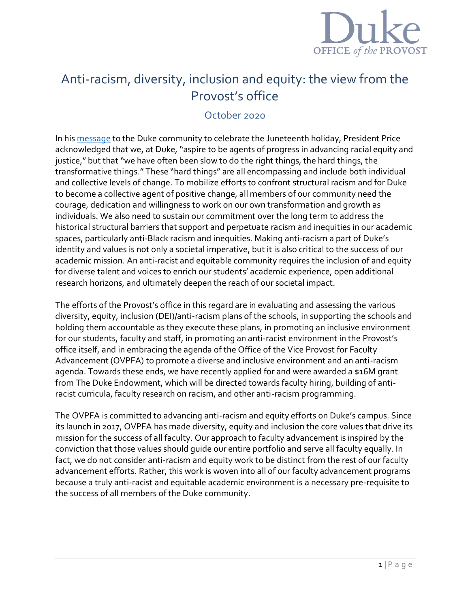

# Anti-racism, diversity, inclusion and equity: the view from the Provost's office

## October 2020

In his [message](https://today.duke.edu/2020/06/statement-president-price-juneteenth-celebration-and-next-steps-addressing-racism) to the Duke community to celebrate the Juneteenth holiday, President Price acknowledged that we, at Duke, "aspire to be agents of progress in advancing racial equity and justice," but that "we have often been slow to do the right things, the hard things, the transformative things." These "hard things" are all encompassing and include both individual and collective levels of change. To mobilize efforts to confront structural racism and for Duke to become a collective agent of positive change, all members of our community need the courage, dedication and willingness to work on our own transformation and growth as individuals. We also need to sustain our commitment over the long term to address the historical structural barriers that support and perpetuate racism and inequities in our academic spaces, particularly anti-Black racism and inequities. Making anti-racism a part of Duke's identity and values is not only a societal imperative, but it is also critical to the success of our academic mission. An anti-racist and equitable community requires the inclusion of and equity for diverse talent and voices to enrich our students' academic experience, open additional research horizons, and ultimately deepen the reach of our societal impact.

The efforts of the Provost's office in this regard are in evaluating and assessing the various diversity, equity, inclusion (DEI)/anti-racism plans of the schools, in supporting the schools and holding them accountable as they execute these plans, in promoting an inclusive environment for our students, faculty and staff, in promoting an anti-racist environment in the Provost's office itself, and in embracing the agenda of the Office of the Vice Provost for Faculty Advancement (OVPFA) to promote a diverse and inclusive environment and an anti-racism agenda. Towards these ends, we have recently applied for and were awarded a \$16M grant from The Duke Endowment, which will be directed towards faculty hiring, building of antiracist curricula, faculty research on racism, and other anti-racism programming.

The OVPFA is committed to advancing anti-racism and equity efforts on Duke's campus. Since its launch in 2017, OVPFA has made diversity, equity and inclusion the core values that drive its mission for the success of all faculty. Our approach to faculty advancement is inspired by the conviction that those values should guide our entire portfolio and serve all faculty equally. In fact, we do not consider anti-racism and equity work to be distinct from the rest of our faculty advancement efforts. Rather, this work is woven into all of our faculty advancement programs because a truly anti-racist and equitable academic environment is a necessary pre-requisite to the success of all members of the Duke community.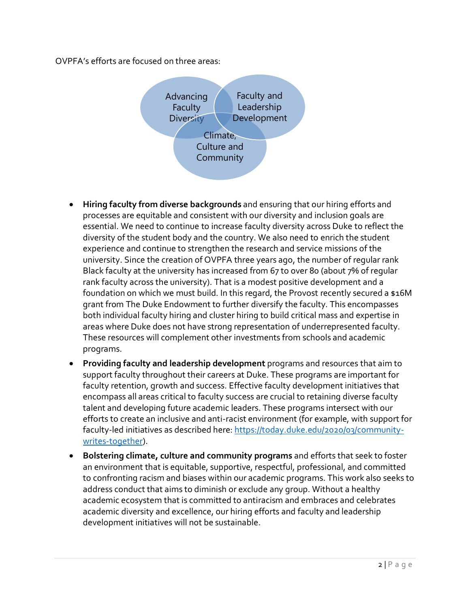OVPFA's efforts are focused on three areas:



- **Hiring faculty from diverse backgrounds** and ensuring that our hiring efforts and processes are equitable and consistent with our diversity and inclusion goals are essential. We need to continue to increase faculty diversity across Duke to reflect the diversity of the student body and the country. We also need to enrich the student experience and continue to strengthen the research and service missions of the university. Since the creation of OVPFA three years ago, the number of regular rank Black faculty at the university has increased from 67 to over 80 (about 7% of regular rank faculty across the university). That is a modest positive development and a foundation on which we must build. In this regard, the Provost recently secured a \$16M grant from The Duke Endowment to further diversify the faculty. This encompasses both individual faculty hiring and cluster hiring to build critical mass and expertise in areas where Duke does not have strong representation of underrepresented faculty. These resources will complement other investments from schools and academic programs.
- **Providing faculty and leadership development** programs and resources that aim to support faculty throughout their careers at Duke. These programs are important for faculty retention, growth and success. Effective faculty development initiatives that encompass all areas critical to faculty success are crucial to retaining diverse faculty talent and developing future academic leaders. These programs intersect with our efforts to create an inclusive and anti-racist environment (for example, with support for faculty-led initiatives as described here: [https://today.duke.edu/2020/03/community](https://today.duke.edu/2020/03/community-writes-together)[writes-together\)](https://today.duke.edu/2020/03/community-writes-together).
- **Bolstering climate, culture and community programs** and efforts that seek to foster an environment that is equitable, supportive, respectful, professional, and committed to confronting racism and biases within our academic programs. This work also seeks to address conduct that aims to diminish or exclude any group. Without a healthy academic ecosystem that is committed to antiracism and embraces and celebrates academic diversity and excellence, our hiring efforts and faculty and leadership development initiatives will not be sustainable.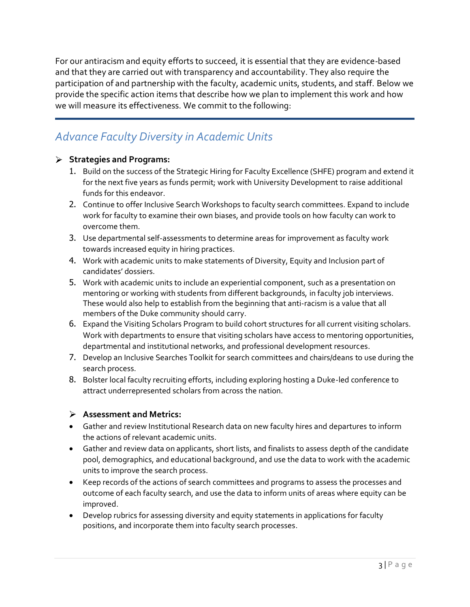For our antiracism and equity efforts to succeed, it is essential that they are evidence-based and that they are carried out with transparency and accountability. They also require the participation of and partnership with the faculty, academic units, students, and staff. Below we provide the specific action items that describe how we plan to implement this work and how we will measure its effectiveness. We commit to the following:

# *Advance Faculty Diversity in Academic Units*

## **Strategies and Programs:**

- 1. Build on the success of the Strategic Hiring for Faculty Excellence (SHFE) program and extend it for the next five years as funds permit; work with University Development to raise additional funds for this endeavor.
- 2. Continue to offer Inclusive Search Workshops to faculty search committees. Expand to include work for faculty to examine their own biases, and provide tools on how faculty can work to overcome them.
- 3. Use departmental self-assessments to determine areas for improvement as faculty work towards increased equity in hiring practices.
- 4. Work with academic units to make statements of Diversity, Equity and Inclusion part of candidates' dossiers.
- 5. Work with academic units to include an experiential component, such as a presentation on mentoring or working with students from different backgrounds, in faculty job interviews. These would also help to establish from the beginning that anti-racism is a value that all members of the Duke community should carry.
- 6. Expand the Visiting Scholars Program to build cohort structures for all current visiting scholars. Work with departments to ensure that visiting scholars have access to mentoring opportunities, departmental and institutional networks, and professional development resources.
- 7. Develop an Inclusive Searches Toolkit for search committees and chairs/deans to use during the search process.
- 8. Bolster local faculty recruiting efforts, including exploring hosting a Duke-led conference to attract underrepresented scholars from across the nation.

### **Assessment and Metrics:**

- Gather and review Institutional Research data on new faculty hires and departures to inform the actions of relevant academic units.
- Gather and review data on applicants, short lists, and finalists to assess depth of the candidate pool, demographics, and educational background, and use the data to work with the academic units to improve the search process.
- Keep records of the actions of search committees and programs to assess the processes and outcome of each faculty search, and use the data to inform units of areas where equity can be improved.
- Develop rubrics for assessing diversity and equity statements in applications for faculty positions, and incorporate them into faculty search processes.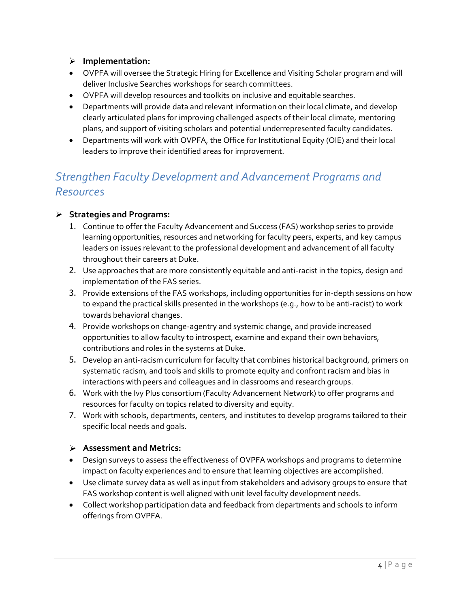## **Implementation:**

- OVPFA will oversee the Strategic Hiring for Excellence and Visiting Scholar program and will deliver Inclusive Searches workshops for search committees.
- OVPFA will develop resources and toolkits on inclusive and equitable searches.
- Departments will provide data and relevant information on their local climate, and develop clearly articulated plans for improving challenged aspects of their local climate, mentoring plans, and support of visiting scholars and potential underrepresented faculty candidates.
- Departments will work with OVPFA, the Office for Institutional Equity (OIE) and their local leaders to improve their identified areas for improvement.

# *Strengthen Faculty Development and Advancement Programs and Resources*

## **Strategies and Programs:**

- 1. Continue to offer the Faculty Advancement and Success (FAS) workshop series to provide learning opportunities, resources and networking for faculty peers, experts, and key campus leaders on issues relevant to the professional development and advancement of all faculty throughout their careers at Duke.
- 2. Use approaches that are more consistently equitable and anti-racist in the topics, design and implementation of the FAS series.
- 3. Provide extensions of the FAS workshops, including opportunities for in-depth sessions on how to expand the practical skills presented in the workshops (e.g., how to be anti-racist) to work towards behavioral changes.
- 4. Provide workshops on change-agentry and systemic change, and provide increased opportunities to allow faculty to introspect, examine and expand their own behaviors, contributions and roles in the systems at Duke.
- 5. Develop an anti-racism curriculum for faculty that combines historical background, primers on systematic racism, and tools and skills to promote equity and confront racism and bias in interactions with peers and colleagues and in classrooms and research groups.
- 6. Work with the Ivy Plus consortium (Faculty Advancement Network) to offer programs and resources for faculty on topics related to diversity and equity.
- 7. Work with schools, departments, centers, and institutes to develop programs tailored to their specific local needs and goals.

## **Assessment and Metrics:**

- Design surveys to assess the effectiveness of OVPFA workshops and programs to determine impact on faculty experiences and to ensure that learning objectives are accomplished.
- Use climate survey data as well as input from stakeholders and advisory groups to ensure that FAS workshop content is well aligned with unit level faculty development needs.
- Collect workshop participation data and feedback from departments and schools to inform offerings from OVPFA.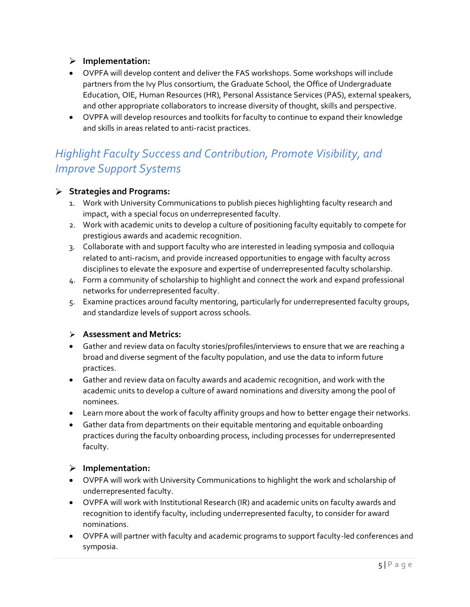## **Implementation:**

- OVPFA will develop content and deliver the FAS workshops. Some workshops will include partners from the Ivy Plus consortium, the Graduate School, the Office of Undergraduate Education, OIE, Human Resources (HR), Personal Assistance Services (PAS), external speakers, and other appropriate collaborators to increase diversity of thought, skills and perspective.
- OVPFA will develop resources and toolkits for faculty to continue to expand their knowledge and skills in areas related to anti-racist practices.

# *Highlight Faculty Success and Contribution, Promote Visibility, and Improve Support Systems*

### **Strategies and Programs:**

- 1. Work with University Communications to publish pieces highlighting faculty research and impact, with a special focus on underrepresented faculty.
- 2. Work with academic units to develop a culture of positioning faculty equitably to compete for prestigious awards and academic recognition.
- 3. Collaborate with and support faculty who are interested in leading symposia and colloquia related to anti-racism, and provide increased opportunities to engage with faculty across disciplines to elevate the exposure and expertise of underrepresented faculty scholarship.
- 4. Form a community of scholarship to highlight and connect the work and expand professional networks for underrepresented faculty.
- 5. Examine practices around faculty mentoring, particularly for underrepresented faculty groups, and standardize levels of support across schools.

### **Assessment and Metrics:**

- Gather and review data on faculty stories/profiles/interviews to ensure that we are reaching a broad and diverse segment of the faculty population, and use the data to inform future practices.
- Gather and review data on faculty awards and academic recognition, and work with the academic units to develop a culture of award nominations and diversity among the pool of nominees.
- Learn more about the work of faculty affinity groups and how to better engage their networks.
- Gather data from departments on their equitable mentoring and equitable onboarding practices during the faculty onboarding process, including processes for underrepresented faculty.

### **Implementation:**

- OVPFA will work with University Communications to highlight the work and scholarship of underrepresented faculty.
- OVPFA will work with Institutional Research (IR) and academic units on faculty awards and recognition to identify faculty, including underrepresented faculty, to consider for award nominations.
- OVPFA will partner with faculty and academic programs to support faculty-led conferences and symposia.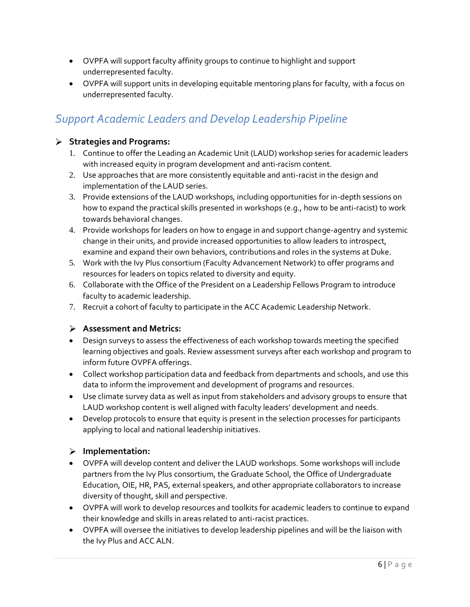- OVPFA will support faculty affinity groups to continue to highlight and support underrepresented faculty.
- OVPFA will support units in developing equitable mentoring plans for faculty, with a focus on underrepresented faculty.

# *Support Academic Leaders and Develop Leadership Pipeline*

## **Strategies and Programs:**

- 1. Continue to offer the Leading an Academic Unit (LAUD) workshop series for academic leaders with increased equity in program development and anti-racism content.
- 2. Use approaches that are more consistently equitable and anti-racist in the design and implementation of the LAUD series.
- 3. Provide extensions of the LAUD workshops, including opportunities for in-depth sessions on how to expand the practical skills presented in workshops (e.g., how to be anti-racist) to work towards behavioral changes.
- 4. Provide workshops for leaders on how to engage in and support change-agentry and systemic change in their units, and provide increased opportunities to allow leaders to introspect, examine and expand their own behaviors, contributions and roles in the systems at Duke.
- 5. Work with the Ivy Plus consortium (Faculty Advancement Network) to offer programs and resources for leaders on topics related to diversity and equity.
- 6. Collaborate with the Office of the President on a Leadership Fellows Program to introduce faculty to academic leadership.
- 7. Recruit a cohort of faculty to participate in the ACC Academic Leadership Network.

## **Assessment and Metrics:**

- Design surveys to assess the effectiveness of each workshop towards meeting the specified learning objectives and goals. Review assessment surveys after each workshop and program to inform future OVPFA offerings.
- Collect workshop participation data and feedback from departments and schools, and use this data to inform the improvement and development of programs and resources.
- Use climate survey data as well as input from stakeholders and advisory groups to ensure that LAUD workshop content is well aligned with faculty leaders' development and needs.
- Develop protocols to ensure that equity is present in the selection processes for participants applying to local and national leadership initiatives.

## **Implementation:**

- OVPFA will develop content and deliver the LAUD workshops. Some workshops will include partners from the Ivy Plus consortium, the Graduate School, the Office of Undergraduate Education, OIE, HR, PAS, external speakers, and other appropriate collaborators to increase diversity of thought, skill and perspective.
- OVPFA will work to develop resources and toolkits for academic leaders to continue to expand their knowledge and skills in areas related to anti-racist practices.
- OVPFA will oversee the initiatives to develop leadership pipelines and will be the liaison with the Ivy Plus and ACC ALN.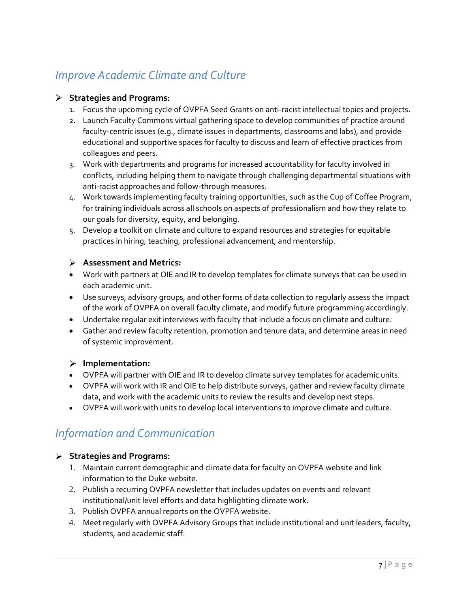# *Improve Academic Climate and Culture*

## **Strategies and Programs:**

- 1. Focus the upcoming cycle of OVPFA Seed Grants on anti-racist intellectual topics and projects.
- 2. Launch Faculty Commons virtual gathering space to develop communities of practice around faculty-centric issues (e.g., climate issues in departments, classrooms and labs), and provide educational and supportive spaces for faculty to discuss and learn of effective practices from colleagues and peers.
- 3. Work with departments and programs for increased accountability for faculty involved in conflicts, including helping them to navigate through challenging departmental situations with anti-racist approaches and follow-through measures.
- 4. Work towards implementing faculty training opportunities, such as the Cup of Coffee Program, for training individuals across all schools on aspects of professionalism and how they relate to our goals for diversity, equity, and belonging.
- 5. Develop a toolkit on climate and culture to expand resources and strategies for equitable practices in hiring, teaching, professional advancement, and mentorship.

## **Assessment and Metrics:**

- Work with partners at OIE and IR to develop templates for climate surveys that can be used in each academic unit.
- Use surveys, advisory groups, and other forms of data collection to regularly assess the impact of the work of OVPFA on overall faculty climate, and modify future programming accordingly.
- Undertake regular exit interviews with faculty that include a focus on climate and culture.
- Gather and review faculty retention, promotion and tenure data, and determine areas in need of systemic improvement.

### **Implementation:**

- OVPFA will partner with OIE and IR to develop climate survey templates for academic units.
- OVPFA will work with IR and OIE to help distribute surveys, gather and review faculty climate data, and work with the academic units to review the results and develop next steps.
- OVPFA will work with units to develop local interventions to improve climate and culture.

# *Information and Communication*

### **Strategies and Programs:**

- 1. Maintain current demographic and climate data for faculty on OVPFA website and link information to the Duke website.
- 2. Publish a recurring OVPFA newsletter that includes updates on events and relevant institutional/unit level efforts and data highlighting climate work.
- 3. Publish OVPFA annual reports on the OVPFA website.
- 4. Meet regularly with OVPFA Advisory Groups that include institutional and unit leaders, faculty, students, and academic staff.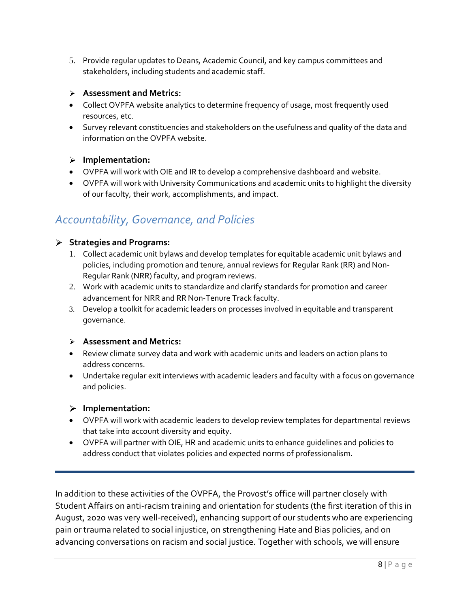5. Provide regular updates to Deans, Academic Council, and key campus committees and stakeholders, including students and academic staff.

#### **Assessment and Metrics:**

- Collect OVPFA website analytics to determine frequency of usage, most frequently used resources, etc.
- Survey relevant constituencies and stakeholders on the usefulness and quality of the data and information on the OVPFA website.

#### **Implementation:**

- OVPFA will work with OIE and IR to develop a comprehensive dashboard and website.
- OVPFA will work with University Communications and academic units to highlight the diversity of our faculty, their work, accomplishments, and impact.

## *Accountability, Governance, and Policies*

#### **Strategies and Programs:**

- 1. Collect academic unit bylaws and develop templates for equitable academic unit bylaws and policies, including promotion and tenure, annual reviews for Regular Rank (RR) and Non-Regular Rank (NRR) faculty, and program reviews.
- 2. Work with academic units to standardize and clarify standards for promotion and career advancement for NRR and RR Non-Tenure Track faculty.
- 3. Develop a toolkit for academic leaders on processes involved in equitable and transparent governance.

#### **Assessment and Metrics:**

- Review climate survey data and work with academic units and leaders on action plans to address concerns.
- Undertake regular exit interviews with academic leaders and faculty with a focus on governance and policies.

### **Implementation:**

- OVPFA will work with academic leaders to develop review templates for departmental reviews that take into account diversity and equity.
- OVPFA will partner with OIE, HR and academic units to enhance guidelines and policies to address conduct that violates policies and expected norms of professionalism.

In addition to these activities of the OVPFA, the Provost's office will partner closely with Student Affairs on anti-racism training and orientation for students (the first iteration of this in August, 2020 was very well-received), enhancing support of our students who are experiencing pain or trauma related to social injustice, on strengthening Hate and Bias policies, and on advancing conversations on racism and social justice. Together with schools, we will ensure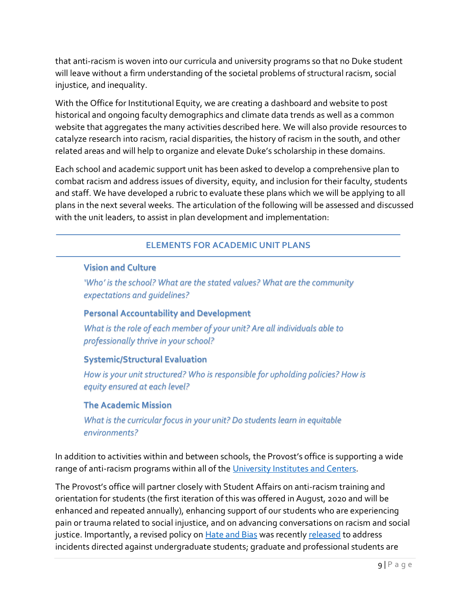that anti-racism is woven into our curricula and university programs so that no Duke student will leave without a firm understanding of the societal problems of structural racism, social injustice, and inequality.

With the Office for Institutional Equity, we are creating a dashboard and website to post historical and ongoing faculty demographics and climate data trends as well as a common website that aggregates the many activities described here. We will also provide resources to catalyze research into racism, racial disparities, the history of racism in the south, and other related areas and will help to organize and elevate Duke's scholarship in these domains.

Each school and academic support unit has been asked to develop a comprehensive plan to combat racism and address issues of diversity, equity, and inclusion for their faculty, students and staff. We have developed a rubric to evaluate these plans which we will be applying to all plans in the next several weeks. The articulation of the following will be assessed and discussed with the unit leaders, to assist in plan development and implementation:

## **ELEMENTS FOR ACADEMIC UNIT PLANS**

## **Vision and Culture**

*'Who' is the school? What are the stated values? What are the community expectations and guidelines?*

### **Personal Accountability and Development**

*What is the role of each member of your unit? Are all individuals able to professionally thrive in your school?*

### **Systemic/Structural Evaluation**

*How is your unit structured? Who is responsible for upholding policies? How is equity ensured at each level?*

### **The Academic Mission**

*What is the curricular focus in your unit? Do students learn in equitable environments?* 

In addition to activities within and between schools, the Provost's office is supporting a wide range of anti-racism programs within all of the [University Institutes and](https://spotlight.duke.edu/anti-racism/wp-content/uploads/sites/72/2020/10/antiracism-uics-9-14-20.pdf) Centers.

The Provost's office will partner closely with Student Affairs on anti-racism training and orientation for students (the first iteration of this was offered in August, 2020 and will be enhanced and repeated annually), enhancing support of our students who are experiencing pain or trauma related to social injustice, and on advancing conversations on racism and social justice. Importantly, a revised policy on **Hate and Bias** was recently [released](https://t.e2ma.net/message/he4ffd/1tx0xx) to address incidents directed against undergraduate students; graduate and professional students are